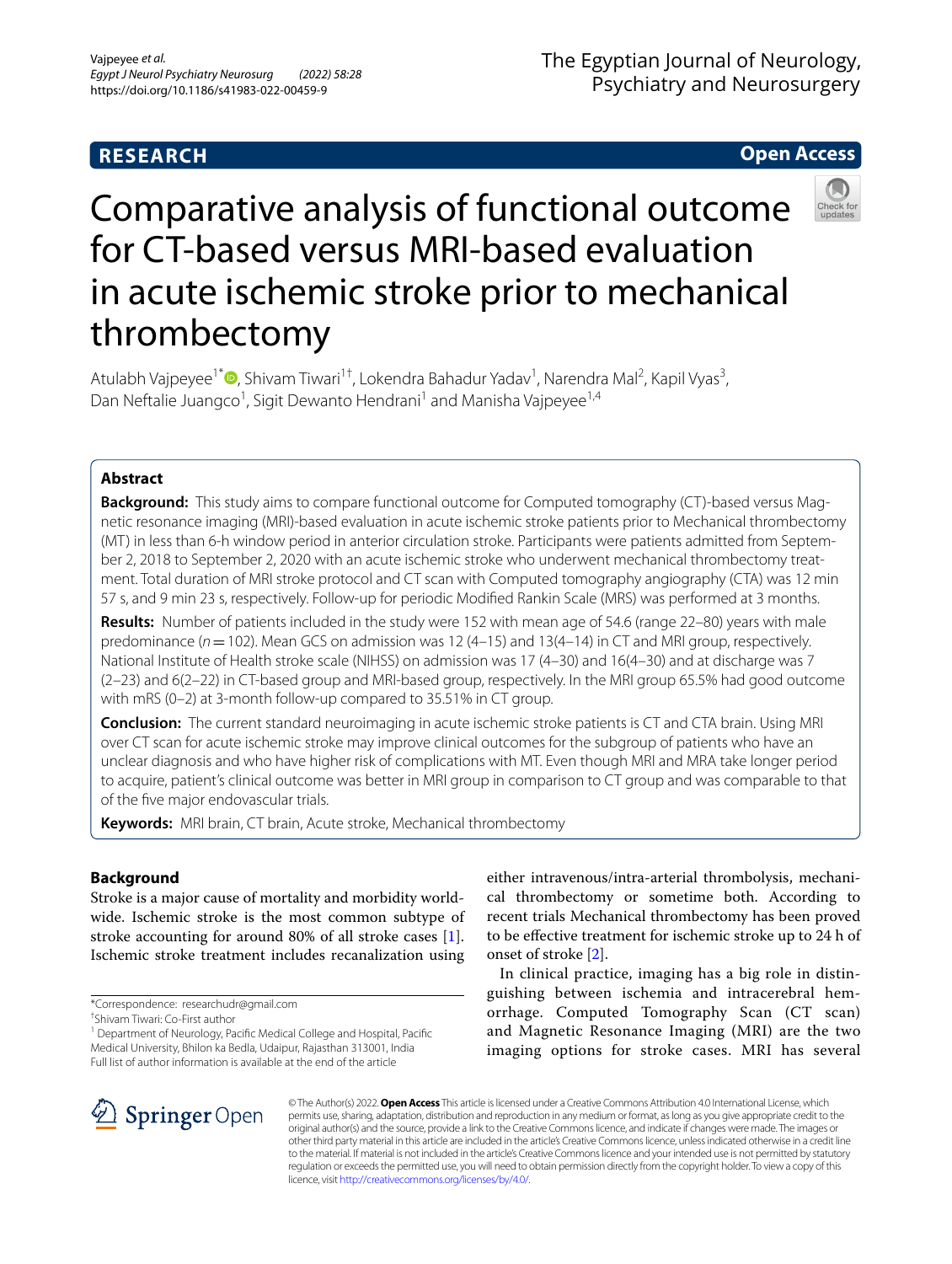### **RESEARCH**

### **Open Access**



# Comparative analysis of functional outcome for CT-based versus MRI-based evaluation in acute ischemic stroke prior to mechanical thrombectomy

Atulabh Vajpeyee<sup>1\*</sup>®[,](http://orcid.org/0000-0002-7942-4302) Shivam Tiwari<sup>1†</sup>, Lokendra Bahadur Yadav<sup>1</sup>, Narendra Mal<sup>2</sup>, Kapil Vyas<sup>3</sup>, Dan Neftalie Juangco<sup>1</sup>, Sigit Dewanto Hendrani<sup>1</sup> and Manisha Vajpeyee<sup>1,4</sup>

#### **Abstract**

**Background:** This study aims to compare functional outcome for Computed tomography (CT)-based versus Magnetic resonance imaging (MRI)-based evaluation in acute ischemic stroke patients prior to Mechanical thrombectomy (MT) in less than 6-h window period in anterior circulation stroke. Participants were patients admitted from September 2, 2018 to September 2, 2020 with an acute ischemic stroke who underwent mechanical thrombectomy treatment. Total duration of MRI stroke protocol and CT scan with Computed tomography angiography (CTA) was 12 min 57 s, and 9 min 23 s, respectively. Follow-up for periodic Modifed Rankin Scale (MRS) was performed at 3 months.

**Results:** Number of patients included in the study were 152 with mean age of 54.6 (range 22–80) years with male predominance ( $n=102$ ). Mean GCS on admission was 12 (4–15) and 13(4–14) in CT and MRI group, respectively. National Institute of Health stroke scale (NIHSS) on admission was 17 (4–30) and 16(4–30) and at discharge was 7 (2–23) and 6(2–22) in CT-based group and MRI-based group, respectively. In the MRI group 65.5% had good outcome with mRS (0–2) at 3-month follow-up compared to 35.51% in CT group.

**Conclusion:** The current standard neuroimaging in acute ischemic stroke patients is CT and CTA brain. Using MRI over CT scan for acute ischemic stroke may improve clinical outcomes for the subgroup of patients who have an unclear diagnosis and who have higher risk of complications with MT. Even though MRI and MRA take longer period to acquire, patient's clinical outcome was better in MRI group in comparison to CT group and was comparable to that of the fve major endovascular trials.

**Keywords:** MRI brain, CT brain, Acute stroke, Mechanical thrombectomy

#### **Background**

Stroke is a major cause of mortality and morbidity worldwide. Ischemic stroke is the most common subtype of stroke accounting for around 80% of all stroke cases [\[1](#page-6-0)]. Ischemic stroke treatment includes recanalization using

\*Correspondence: researchudr@gmail.com

† Shivam Tiwari: Co-First author

<sup>1</sup> Department of Neurology, Pacific Medical College and Hospital, Pacific Medical University, Bhilon ka Bedla, Udaipur, Rajasthan 313001, India Full list of author information is available at the end of the article

either intravenous/intra-arterial thrombolysis, mechanical thrombectomy or sometime both. According to recent trials Mechanical thrombectomy has been proved to be efective treatment for ischemic stroke up to 24 h of onset of stroke [\[2](#page-6-1)].

In clinical practice, imaging has a big role in distinguishing between ischemia and intracerebral hemorrhage. Computed Tomography Scan (CT scan) and Magnetic Resonance Imaging (MRI) are the two imaging options for stroke cases. MRI has several



© The Author(s) 2022. **Open Access** This article is licensed under a Creative Commons Attribution 4.0 International License, which permits use, sharing, adaptation, distribution and reproduction in any medium or format, as long as you give appropriate credit to the original author(s) and the source, provide a link to the Creative Commons licence, and indicate if changes were made. The images or other third party material in this article are included in the article's Creative Commons licence, unless indicated otherwise in a credit line to the material. If material is not included in the article's Creative Commons licence and your intended use is not permitted by statutory regulation or exceeds the permitted use, you will need to obtain permission directly from the copyright holder. To view a copy of this licence, visit [http://creativecommons.org/licenses/by/4.0/.](http://creativecommons.org/licenses/by/4.0/)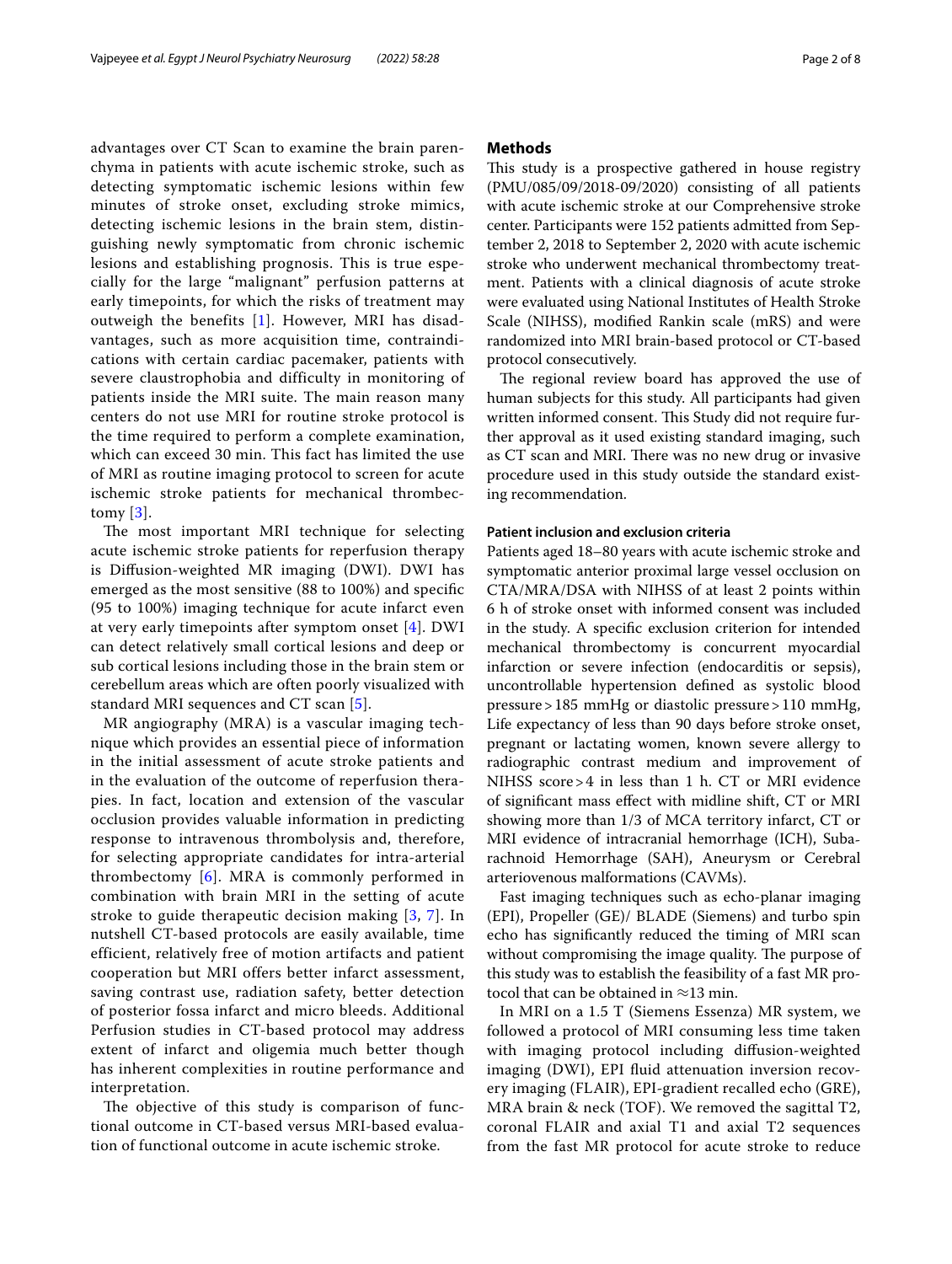advantages over CT Scan to examine the brain parenchyma in patients with acute ischemic stroke, such as detecting symptomatic ischemic lesions within few minutes of stroke onset, excluding stroke mimics, detecting ischemic lesions in the brain stem, distinguishing newly symptomatic from chronic ischemic lesions and establishing prognosis. This is true especially for the large "malignant" perfusion patterns at early timepoints, for which the risks of treatment may outweigh the benefits [\[1](#page-6-0)]. However, MRI has disadvantages, such as more acquisition time, contraindications with certain cardiac pacemaker, patients with severe claustrophobia and difficulty in monitoring of patients inside the MRI suite. The main reason many centers do not use MRI for routine stroke protocol is the time required to perform a complete examination, which can exceed 30 min. This fact has limited the use of MRI as routine imaging protocol to screen for acute ischemic stroke patients for mechanical thrombectomy [\[3](#page-6-2)].

The most important MRI technique for selecting acute ischemic stroke patients for reperfusion therapy is Difusion-weighted MR imaging (DWI). DWI has emerged as the most sensitive (88 to 100%) and specifc (95 to 100%) imaging technique for acute infarct even at very early timepoints after symptom onset [[4\]](#page-6-3). DWI can detect relatively small cortical lesions and deep or sub cortical lesions including those in the brain stem or cerebellum areas which are often poorly visualized with standard MRI sequences and CT scan [[5](#page-6-4)].

MR angiography (MRA) is a vascular imaging technique which provides an essential piece of information in the initial assessment of acute stroke patients and in the evaluation of the outcome of reperfusion therapies. In fact, location and extension of the vascular occlusion provides valuable information in predicting response to intravenous thrombolysis and, therefore, for selecting appropriate candidates for intra-arterial thrombectomy [[6](#page-6-5)]. MRA is commonly performed in combination with brain MRI in the setting of acute stroke to guide therapeutic decision making [[3](#page-6-2), [7](#page-7-0)]. In nutshell CT-based protocols are easily available, time efficient, relatively free of motion artifacts and patient cooperation but MRI offers better infarct assessment, saving contrast use, radiation safety, better detection of posterior fossa infarct and micro bleeds. Additional Perfusion studies in CT-based protocol may address extent of infarct and oligemia much better though has inherent complexities in routine performance and interpretation.

The objective of this study is comparison of functional outcome in CT-based versus MRI-based evaluation of functional outcome in acute ischemic stroke.

#### **Methods**

This study is a prospective gathered in house registry (PMU/085/09/2018-09/2020) consisting of all patients with acute ischemic stroke at our Comprehensive stroke center. Participants were 152 patients admitted from September 2, 2018 to September 2, 2020 with acute ischemic stroke who underwent mechanical thrombectomy treatment. Patients with a clinical diagnosis of acute stroke were evaluated using National Institutes of Health Stroke Scale (NIHSS), modifed Rankin scale (mRS) and were randomized into MRI brain-based protocol or CT-based protocol consecutively.

The regional review board has approved the use of human subjects for this study. All participants had given written informed consent. This Study did not require further approval as it used existing standard imaging, such as CT scan and MRI. There was no new drug or invasive procedure used in this study outside the standard existing recommendation.

#### **Patient inclusion and exclusion criteria**

Patients aged 18–80 years with acute ischemic stroke and symptomatic anterior proximal large vessel occlusion on CTA/MRA/DSA with NIHSS of at least 2 points within 6 h of stroke onset with informed consent was included in the study. A specifc exclusion criterion for intended mechanical thrombectomy is concurrent myocardial infarction or severe infection (endocarditis or sepsis), uncontrollable hypertension defned as systolic blood pressure>185 mmHg or diastolic pressure>110 mmHg, Life expectancy of less than 90 days before stroke onset, pregnant or lactating women, known severe allergy to radiographic contrast medium and improvement of NIHSS score>4 in less than 1 h. CT or MRI evidence of signifcant mass efect with midline shift, CT or MRI showing more than 1/3 of MCA territory infarct, CT or MRI evidence of intracranial hemorrhage (ICH), Subarachnoid Hemorrhage (SAH), Aneurysm or Cerebral arteriovenous malformations (CAVMs).

Fast imaging techniques such as echo-planar imaging (EPI), Propeller (GE)/ BLADE (Siemens) and turbo spin echo has signifcantly reduced the timing of MRI scan without compromising the image quality. The purpose of this study was to establish the feasibility of a fast MR protocol that can be obtained in  $\approx$ 13 min.

In MRI on a 1.5 T (Siemens Essenza) MR system, we followed a protocol of MRI consuming less time taken with imaging protocol including difusion-weighted imaging (DWI), EPI fluid attenuation inversion recovery imaging (FLAIR), EPI-gradient recalled echo (GRE), MRA brain & neck (TOF). We removed the sagittal T2, coronal FLAIR and axial T1 and axial T2 sequences from the fast MR protocol for acute stroke to reduce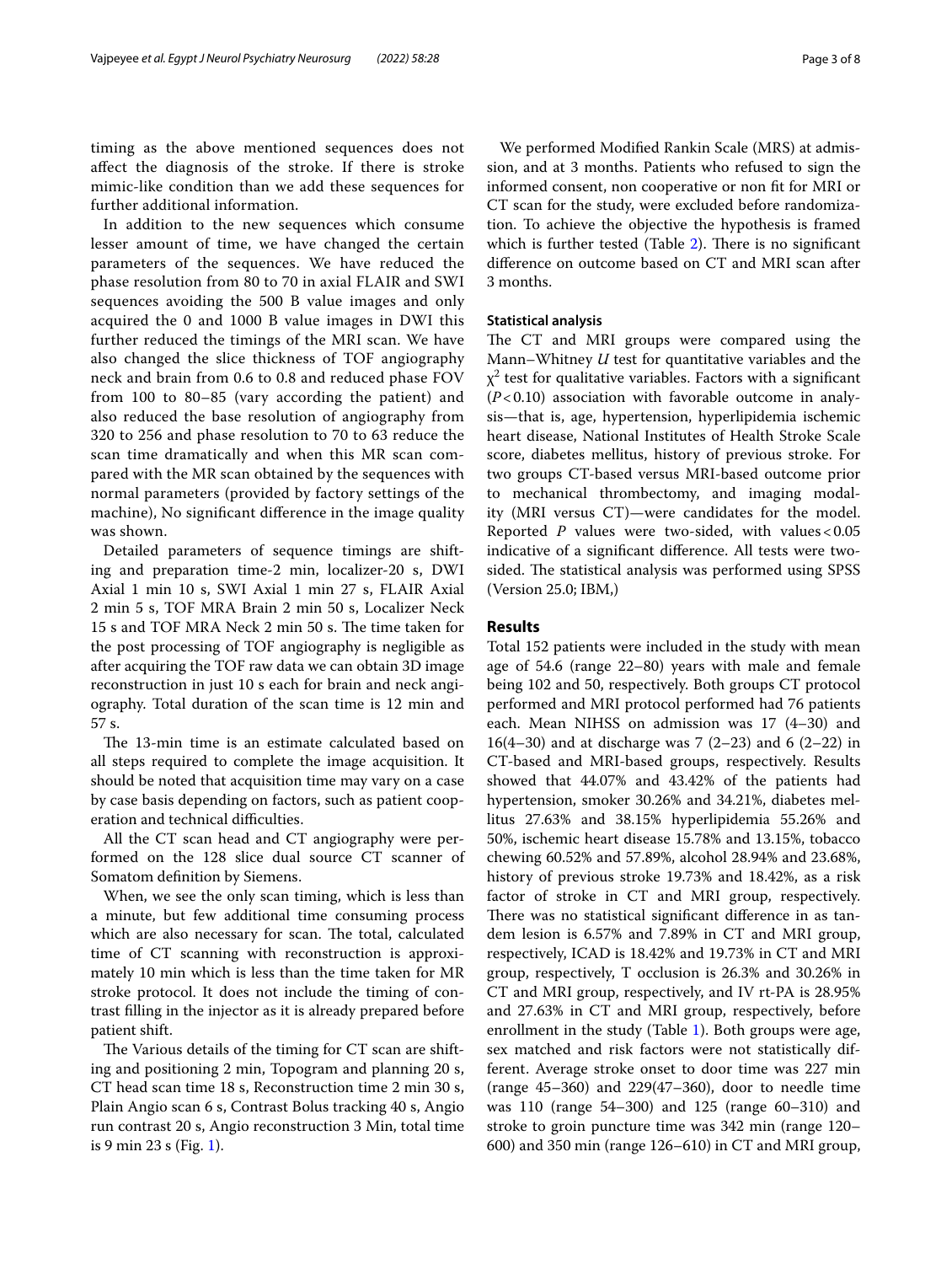timing as the above mentioned sequences does not afect the diagnosis of the stroke. If there is stroke mimic-like condition than we add these sequences for further additional information.

In addition to the new sequences which consume lesser amount of time, we have changed the certain parameters of the sequences. We have reduced the phase resolution from 80 to 70 in axial FLAIR and SWI sequences avoiding the 500 B value images and only acquired the 0 and 1000 B value images in DWI this further reduced the timings of the MRI scan. We have also changed the slice thickness of TOF angiography neck and brain from 0.6 to 0.8 and reduced phase FOV from 100 to 80–85 (vary according the patient) and also reduced the base resolution of angiography from 320 to 256 and phase resolution to 70 to 63 reduce the scan time dramatically and when this MR scan compared with the MR scan obtained by the sequences with normal parameters (provided by factory settings of the machine), No signifcant diference in the image quality was shown.

Detailed parameters of sequence timings are shifting and preparation time-2 min, localizer-20 s, DWI Axial 1 min 10 s, SWI Axial 1 min 27 s, FLAIR Axial 2 min 5 s, TOF MRA Brain 2 min 50 s, Localizer Neck 15 s and TOF MRA Neck 2 min 50 s. The time taken for the post processing of TOF angiography is negligible as after acquiring the TOF raw data we can obtain 3D image reconstruction in just 10 s each for brain and neck angiography. Total duration of the scan time is 12 min and 57 s.

The 13-min time is an estimate calculated based on all steps required to complete the image acquisition. It should be noted that acquisition time may vary on a case by case basis depending on factors, such as patient cooperation and technical difficulties.

All the CT scan head and CT angiography were performed on the 128 slice dual source CT scanner of Somatom defnition by Siemens.

When, we see the only scan timing, which is less than a minute, but few additional time consuming process which are also necessary for scan. The total, calculated time of CT scanning with reconstruction is approximately 10 min which is less than the time taken for MR stroke protocol. It does not include the timing of contrast flling in the injector as it is already prepared before patient shift.

The Various details of the timing for CT scan are shifting and positioning 2 min, Topogram and planning 20 s, CT head scan time 18 s, Reconstruction time 2 min 30 s, Plain Angio scan 6 s, Contrast Bolus tracking 40 s, Angio run contrast 20 s, Angio reconstruction 3 Min, total time is 9 min 23 s (Fig. [1\)](#page-3-0).

We performed Modifed Rankin Scale (MRS) at admission, and at 3 months. Patients who refused to sign the informed consent, non cooperative or non ft for MRI or CT scan for the study, were excluded before randomization. To achieve the objective the hypothesis is framed which is further tested (Table  $2$ ). There is no significant diference on outcome based on CT and MRI scan after

#### **Statistical analysis**

3 months.

The CT and MRI groups were compared using the Mann–Whitney *U* test for quantitative variables and the  $\chi^2$  test for qualitative variables. Factors with a significant (*P*<0.10) association with favorable outcome in analysis—that is, age, hypertension, hyperlipidemia ischemic heart disease, National Institutes of Health Stroke Scale score, diabetes mellitus, history of previous stroke. For two groups CT-based versus MRI-based outcome prior to mechanical thrombectomy, and imaging modality (MRI versus CT)—were candidates for the model. Reported *P* values were two-sided, with values < 0.05 indicative of a signifcant diference. All tests were twosided. The statistical analysis was performed using SPSS (Version 25.0; IBM,)

#### **Results**

Total 152 patients were included in the study with mean age of 54.6 (range 22–80) years with male and female being 102 and 50, respectively. Both groups CT protocol performed and MRI protocol performed had 76 patients each. Mean NIHSS on admission was 17 (4–30) and 16(4–30) and at discharge was 7 (2–23) and 6 (2–22) in CT-based and MRI-based groups, respectively. Results showed that 44.07% and 43.42% of the patients had hypertension, smoker 30.26% and 34.21%, diabetes mellitus 27.63% and 38.15% hyperlipidemia 55.26% and 50%, ischemic heart disease 15.78% and 13.15%, tobacco chewing 60.52% and 57.89%, alcohol 28.94% and 23.68%, history of previous stroke 19.73% and 18.42%, as a risk factor of stroke in CT and MRI group, respectively. There was no statistical significant difference in as tandem lesion is 6.57% and 7.89% in CT and MRI group, respectively, ICAD is 18.42% and 19.73% in CT and MRI group, respectively, T occlusion is 26.3% and 30.26% in CT and MRI group, respectively, and IV rt-PA is 28.95% and 27.63% in CT and MRI group, respectively, before enrollment in the study (Table [1](#page-4-1)). Both groups were age, sex matched and risk factors were not statistically different. Average stroke onset to door time was 227 min (range 45–360) and 229(47–360), door to needle time was 110 (range 54–300) and 125 (range 60–310) and stroke to groin puncture time was 342 min (range 120– 600) and 350 min (range 126–610) in CT and MRI group,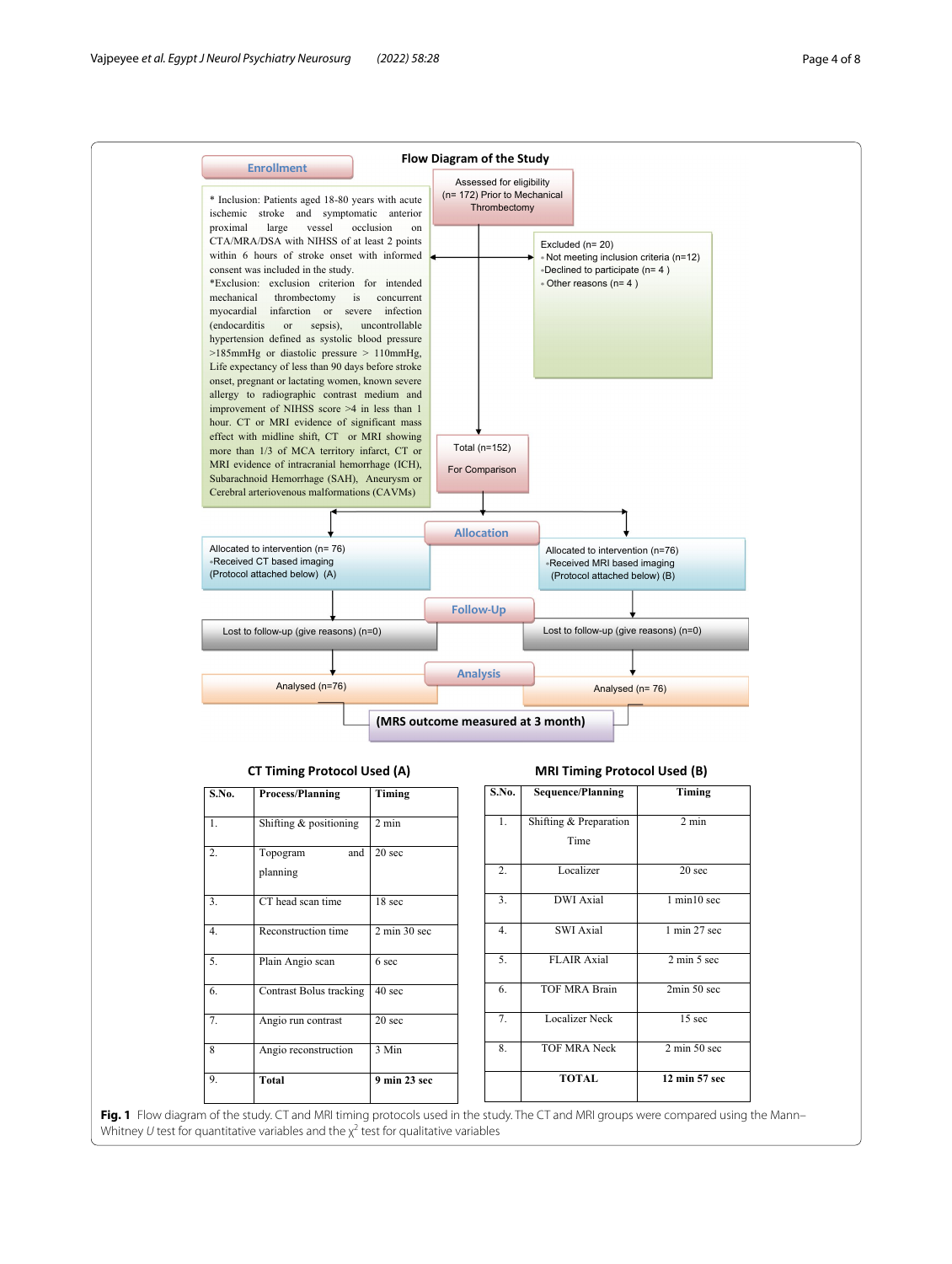

<span id="page-3-0"></span>**Fig. 1** Flow diagram of the study. CT and MRI timing protocols used in the study. The CT and MRI groups were compared using the Mann– Whitney *U* test for quantitative variables and the  $\chi^2$  test for qualitative variables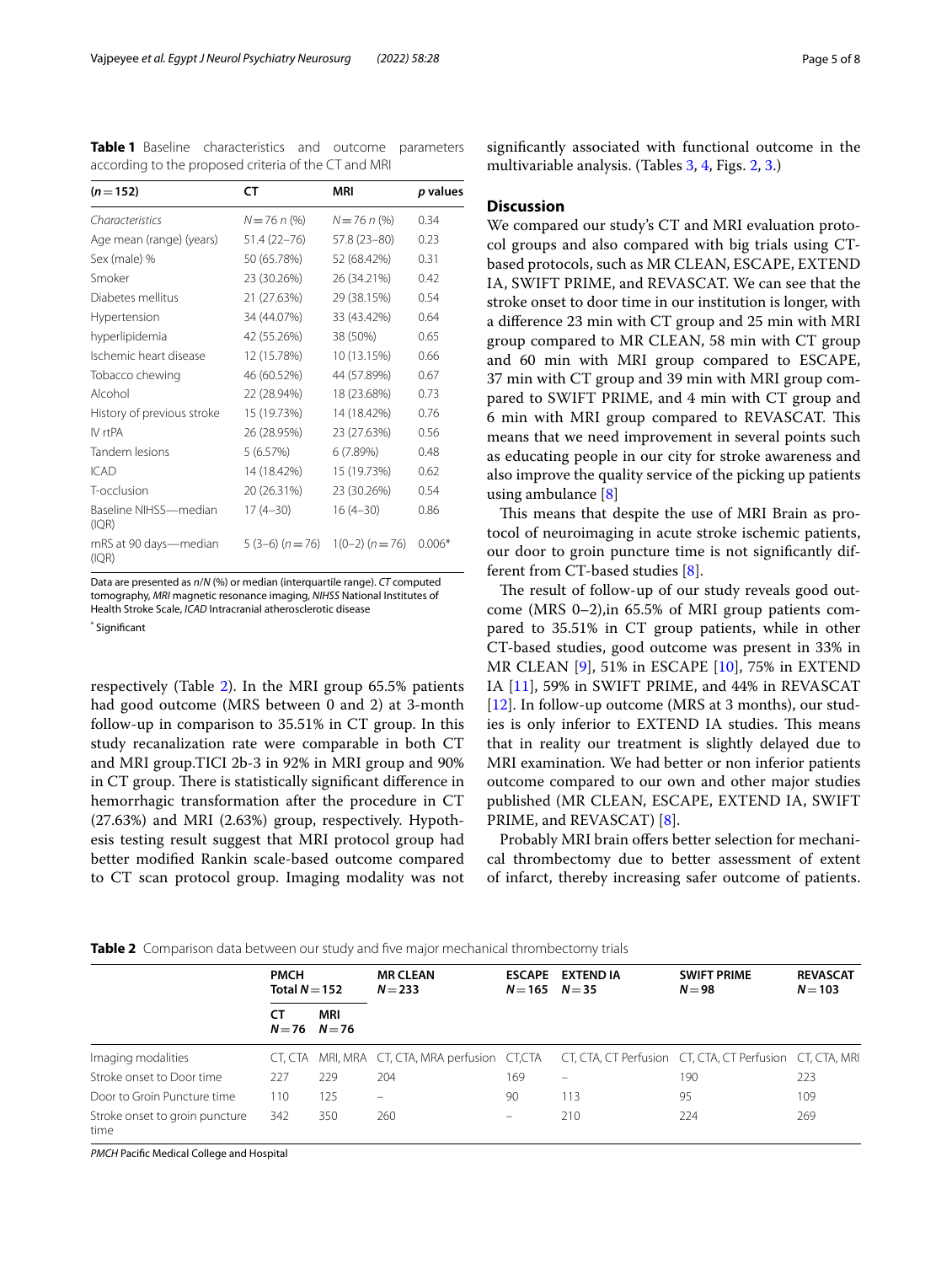<span id="page-4-1"></span>**Table 1** Baseline characteristics and outcome parameters according to the proposed criteria of the CT and MRI

| $(n=152)$                      | CT              | MRI               | p values |
|--------------------------------|-----------------|-------------------|----------|
| Characteristics                | $N = 76 n$ (%)  | $N = 76 n$ (%)    | 0.34     |
| Age mean (range) (years)       | 51.4 (22–76)    | 57.8 (23-80)      | 0.23     |
| Sex (male) %                   | 50 (65.78%)     | 52 (68.42%)       | 0.31     |
| Smoker                         | 23 (30.26%)     | 26 (34.21%)       | 0.42     |
| Diabetes mellitus              | 21 (27.63%)     | 29 (38.15%)       | 0.54     |
| Hypertension                   | 34 (44.07%)     | 33 (43.42%)       | 0.64     |
| hyperlipidemia                 | 42 (55.26%)     | 38 (50%)          | 0.65     |
| Ischemic heart disease         | 12 (15.78%)     | 10 (13.15%)       | 0.66     |
| Tobacco chewing                | 46 (60.52%)     | 44 (57.89%)       | 0.67     |
| Alcohol                        | 22 (28.94%)     | 18 (23.68%)       | 0.73     |
| History of previous stroke     | 15 (19.73%)     | 14 (18.42%)       | 0.76     |
| IV rtPA                        | 26 (28.95%)     | 23 (27.63%)       | 0.56     |
| Tandem lesions                 | 5 (6.57%)       | 6(7.89%)          | 0.48     |
| <b>ICAD</b>                    | 14 (18.42%)     | 15 (19.73%)       | 0.62     |
| T-occlusion                    | 20 (26.31%)     | 23 (30.26%)       | 0.54     |
| Baseline NIHSS-median<br>(IQR) | $17(4-30)$      | $16(4-30)$        | 0.86     |
| mRS at 90 days—median<br>(IQR) | $5(3-6) (n=76)$ | $1(0-2) (n = 76)$ | $0.006*$ |

Data are presented as *n*/*N* (%) or median (interquartile range). *CT* computed tomography, *MRI* magnetic resonance imaging, *NIHSS* National Institutes of Health Stroke Scale, *ICAD* Intracranial atherosclerotic disease

\* Signifcant

respectively (Table [2\)](#page-4-0). In the MRI group 65.5% patients had good outcome (MRS between 0 and 2) at 3-month follow-up in comparison to 35.51% in CT group. In this study recanalization rate were comparable in both CT and MRI group.TICI 2b-3 in 92% in MRI group and 90% in CT group. There is statistically significant difference in hemorrhagic transformation after the procedure in CT (27.63%) and MRI (2.63%) group, respectively. Hypothesis testing result suggest that MRI protocol group had better modifed Rankin scale-based outcome compared to CT scan protocol group. Imaging modality was not

signifcantly associated with functional outcome in the multivariable analysis. (Tables [3](#page-5-0), [4,](#page-5-1) Figs. [2](#page-5-2), [3.](#page-6-6))

#### **Discussion**

We compared our study's CT and MRI evaluation protocol groups and also compared with big trials using CTbased protocols, such as MR CLEAN, ESCAPE, EXTEND IA, SWIFT PRIME, and REVASCAT. We can see that the stroke onset to door time in our institution is longer, with a diference 23 min with CT group and 25 min with MRI group compared to MR CLEAN, 58 min with CT group and 60 min with MRI group compared to ESCAPE, 37 min with CT group and 39 min with MRI group compared to SWIFT PRIME, and 4 min with CT group and 6 min with MRI group compared to REVASCAT. Tis means that we need improvement in several points such as educating people in our city for stroke awareness and also improve the quality service of the picking up patients using ambulance [[8\]](#page-7-1)

This means that despite the use of MRI Brain as protocol of neuroimaging in acute stroke ischemic patients, our door to groin puncture time is not signifcantly different from CT-based studies [[8\]](#page-7-1).

The result of follow-up of our study reveals good outcome (MRS 0–2),in 65.5% of MRI group patients compared to 35.51% in CT group patients, while in other CT-based studies, good outcome was present in 33% in MR CLEAN [\[9](#page-7-2)], 51% in ESCAPE [[10](#page-7-3)], 75% in EXTEND IA [\[11](#page-7-4)], 59% in SWIFT PRIME, and 44% in REVASCAT [[12\]](#page-7-5). In follow-up outcome (MRS at 3 months), our studies is only inferior to EXTEND IA studies. This means that in reality our treatment is slightly delayed due to MRI examination. We had better or non inferior patients outcome compared to our own and other major studies published (MR CLEAN, ESCAPE, EXTEND IA, SWIFT PRIME, and REVASCAT) [\[8](#page-7-1)].

Probably MRI brain offers better selection for mechanical thrombectomy due to better assessment of extent of infarct, thereby increasing safer outcome of patients.

<span id="page-4-0"></span>

|  | Table 2 Comparison data between our study and five maior mechanical thrombectomy trials |  |
|--|-----------------------------------------------------------------------------------------|--|
|--|-----------------------------------------------------------------------------------------|--|

|                                        | <b>PMCH</b><br>Total $N=152$ |                          | <b>MR CLEAN</b><br>$N = 233$                                                                             | $N = 165$ $N = 35$       | ESCAPE EXTEND IA | <b>SWIFT PRIME</b><br>$N=98$ | <b>REVASCAT</b><br>$N = 103$ |
|----------------------------------------|------------------------------|--------------------------|----------------------------------------------------------------------------------------------------------|--------------------------|------------------|------------------------------|------------------------------|
|                                        | СT                           | MRI<br>$N = 76$ $N = 76$ |                                                                                                          |                          |                  |                              |                              |
| Imaging modalities                     |                              |                          | CT, CTA MRI, MRA CT, CTA, MRA perfusion CT, CTA CT, CTA, CT Perfusion CT, CTA, CT Perfusion CT, CTA, MRI |                          |                  |                              |                              |
| Stroke onset to Door time              | 227                          | 229                      | 204                                                                                                      | 169                      |                  | 190                          | 223                          |
| Door to Groin Puncture time            | 110                          | 125                      | $\qquad \qquad \longleftarrow$                                                                           | 90                       | 113              | 95                           | 109                          |
| Stroke onset to groin puncture<br>time | 342                          | 350                      | 260                                                                                                      | $\overline{\phantom{0}}$ | 210              | 224                          | 269                          |

*PMCH* Pacifc Medical College and Hospital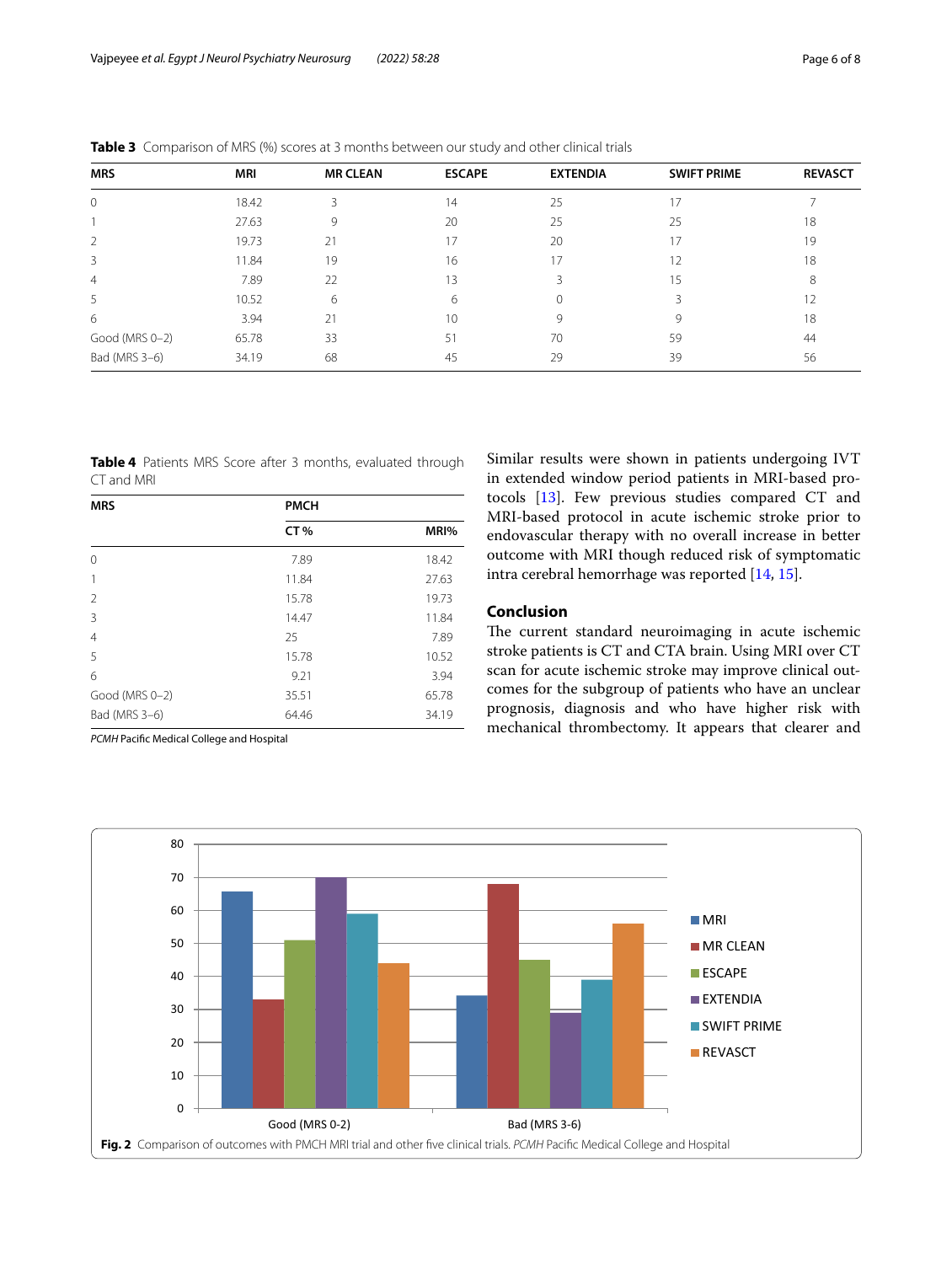| <b>MRS</b>     | <b>MRI</b> | <b>MR CLEAN</b> | <b>ESCAPE</b> | <b>EXTENDIA</b> | <b>SWIFT PRIME</b> | <b>REVASCT</b> |
|----------------|------------|-----------------|---------------|-----------------|--------------------|----------------|
| $\mathcal{O}$  | 18.42      | 3               | 14            | 25              | 17                 |                |
|                | 27.63      | 9               | 20            | 25              | 25                 | 18             |
| 2              | 19.73      | 21              | 17            | 20              | 17                 | 19             |
| 3              | 11.84      | 19              | 16            | 17              | 12                 | 18             |
| 4              | 7.89       | 22              | 13            |                 | 15                 | 8              |
| 5              | 10.52      | 6               | 6             | $\Omega$        |                    | 12             |
| 6              | 3.94       | 21              | 10            | 9               | Q                  | 18             |
| Good (MRS 0-2) | 65.78      | 33              | 51            | 70              | 59                 | 44             |
| Bad (MRS 3-6)  | 34.19      | 68              | 45            | 29              | 39                 | 56             |

<span id="page-5-0"></span>**Table 3** Comparison of MRS (%) scores at 3 months between our study and other clinical trials

<span id="page-5-1"></span>**Table 4** Patients MRS Score after 3 months, evaluated through CT and MRI

| <b>MRS</b>     | <b>PMCH</b> |       |  |  |
|----------------|-------------|-------|--|--|
|                | CT%         | MRI%  |  |  |
| 0              | 7.89        | 18.42 |  |  |
| 1              | 11.84       | 27.63 |  |  |
| $\overline{2}$ | 15.78       | 19.73 |  |  |
| 3              | 14.47       | 11.84 |  |  |
| $\overline{4}$ | 25          | 7.89  |  |  |
| 5              | 15.78       | 10.52 |  |  |
| 6              | 9.21        | 3.94  |  |  |
| Good (MRS 0-2) | 35.51       | 65.78 |  |  |
| Bad (MRS 3-6)  | 64.46       | 34.19 |  |  |

*PCMH* Pacifc Medical College and Hospital

Similar results were shown in patients undergoing IVT in extended window period patients in MRI-based protocols [\[13](#page-7-6)]. Few previous studies compared CT and MRI-based protocol in acute ischemic stroke prior to endovascular therapy with no overall increase in better outcome with MRI though reduced risk of symptomatic intra cerebral hemorrhage was reported [[14](#page-7-7), [15\]](#page-7-8).

#### **Conclusion**

The current standard neuroimaging in acute ischemic stroke patients is CT and CTA brain. Using MRI over CT scan for acute ischemic stroke may improve clinical outcomes for the subgroup of patients who have an unclear prognosis, diagnosis and who have higher risk with mechanical thrombectomy. It appears that clearer and

<span id="page-5-2"></span>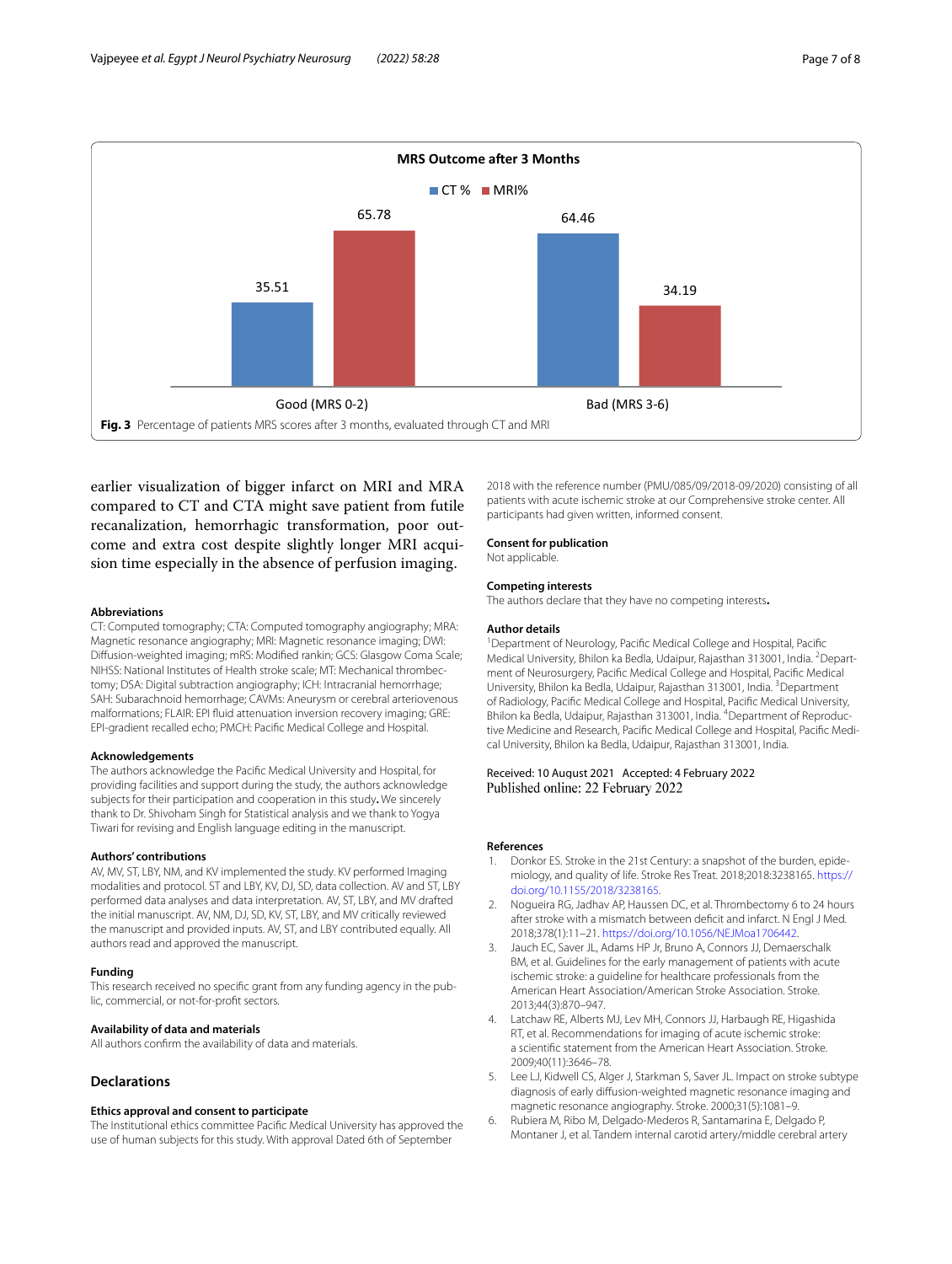

<span id="page-6-6"></span>earlier visualization of bigger infarct on MRI and MRA compared to CT and CTA might save patient from futile recanalization, hemorrhagic transformation, poor outcome and extra cost despite slightly longer MRI acquision time especially in the absence of perfusion imaging.

#### **Abbreviations**

CT: Computed tomography; CTA: Computed tomography angiography; MRA: Magnetic resonance angiography; MRI: Magnetic resonance imaging; DWI: Difusion-weighted imaging; mRS: Modifed rankin; GCS: Glasgow Coma Scale; NIHSS: National Institutes of Health stroke scale; MT: Mechanical thrombectomy; DSA: Digital subtraction angiography; ICH: Intracranial hemorrhage; SAH: Subarachnoid hemorrhage; CAVMs: Aneurysm or cerebral arteriovenous malformations; FLAIR: EPI fuid attenuation inversion recovery imaging; GRE: EPI-gradient recalled echo; PMCH: Pacifc Medical College and Hospital.

#### **Acknowledgements**

The authors acknowledge the Pacifc Medical University and Hospital, for providing facilities and support during the study, the authors acknowledge subjects for their participation and cooperation in this study**.** We sincerely thank to Dr. Shivoham Singh for Statistical analysis and we thank to Yogya Tiwari for revising and English language editing in the manuscript.

#### **Authors' contributions**

AV, MV, ST, LBY, NM, and KV implemented the study. KV performed Imaging modalities and protocol. ST and LBY, KV, DJ, SD, data collection. AV and ST, LBY performed data analyses and data interpretation. AV, ST, LBY, and MV drafted the initial manuscript. AV, NM, DJ, SD, KV, ST, LBY, and MV critically reviewed the manuscript and provided inputs. AV, ST, and LBY contributed equally. All authors read and approved the manuscript.

#### **Funding**

This research received no specifc grant from any funding agency in the public, commercial, or not-for-proft sectors.

#### **Availability of data and materials**

All authors confrm the availability of data and materials.

#### **Declarations**

#### **Ethics approval and consent to participate**

The Institutional ethics committee Pacifc Medical University has approved the use of human subjects for this study. With approval Dated 6th of September

2018 with the reference number (PMU/085/09/2018-09/2020) consisting of all patients with acute ischemic stroke at our Comprehensive stroke center. All participants had given written, informed consent.

#### **Consent for publication**

Not applicable.

#### **Competing interests**

The authors declare that they have no competing interests**.**

#### **Author details**

<sup>1</sup> Department of Neurology, Pacific Medical College and Hospital, Pacific Medical University, Bhilon ka Bedla, Udaipur, Rajasthan 313001, India. <sup>2</sup> Department of Neurosurgery, Pacifc Medical College and Hospital, Pacifc Medical University, Bhilon ka Bedla, Udaipur, Rajasthan 313001, India. <sup>3</sup>Department of Radiology, Pacifc Medical College and Hospital, Pacifc Medical University, Bhilon ka Bedla, Udaipur, Rajasthan 313001, India. <sup>4</sup>Department of Reproductive Medicine and Research, Pacifc Medical College and Hospital, Pacifc Medical University, Bhilon ka Bedla, Udaipur, Rajasthan 313001, India.

## Received: 10 August 2021 Accepted: 4 February 2022<br>Published online: 22 February 2022

#### **References**

- <span id="page-6-0"></span>1. Donkor ES. Stroke in the 21st Century: a snapshot of the burden, epidemiology, and quality of life. Stroke Res Treat. 2018;2018:3238165. [https://](https://doi.org/10.1155/2018/3238165) [doi.org/10.1155/2018/3238165](https://doi.org/10.1155/2018/3238165).
- <span id="page-6-1"></span>2. Nogueira RG, Jadhav AP, Haussen DC, et al. Thrombectomy 6 to 24 hours after stroke with a mismatch between defcit and infarct. N Engl J Med. 2018;378(1):11–21. [https://doi.org/10.1056/NEJMoa1706442.](https://doi.org/10.1056/NEJMoa1706442)
- <span id="page-6-2"></span>3. Jauch EC, Saver JL, Adams HP Jr, Bruno A, Connors JJ, Demaerschalk BM, et al. Guidelines for the early management of patients with acute ischemic stroke: a guideline for healthcare professionals from the American Heart Association/American Stroke Association. Stroke. 2013;44(3):870–947.
- <span id="page-6-3"></span>Latchaw RE, Alberts MJ, Lev MH, Connors JJ, Harbaugh RE, Higashida RT, et al. Recommendations for imaging of acute ischemic stroke: a scientifc statement from the American Heart Association. Stroke. 2009;40(11):3646–78.
- <span id="page-6-4"></span>5. Lee LJ, Kidwell CS, Alger J, Starkman S, Saver JL. Impact on stroke subtype diagnosis of early difusion-weighted magnetic resonance imaging and magnetic resonance angiography. Stroke. 2000;31(5):1081–9.
- <span id="page-6-5"></span>6. Rubiera M, Ribo M, Delgado-Mederos R, Santamarina E, Delgado P, Montaner J, et al. Tandem internal carotid artery/middle cerebral artery